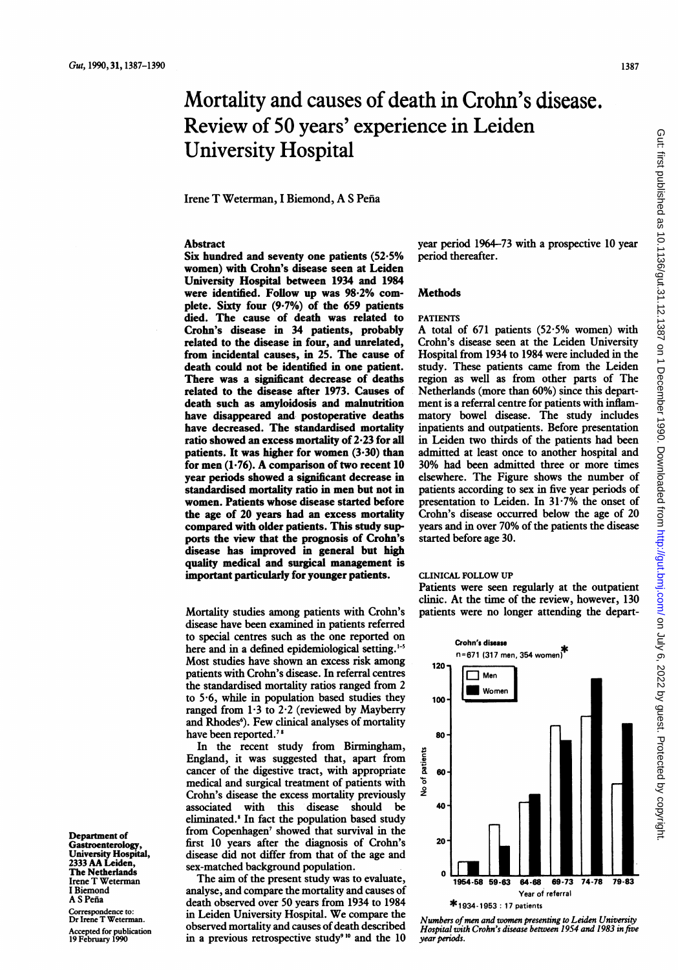# Mortality and causes of death in Crohn's disease. Review of 50 years' experience in Leiden University Hospital

Irene T Weterman, <sup>I</sup> Biemond, A <sup>S</sup> Pena

# Abstract

Six hundred and seventy one patients (52.5% women) with Crohn's disease seen at Leiden University Hospital between 1934 and 1984 were identified. Follow up was 98.2% complete. Sixty four (9.7%) of the 659 patients died. The cause of death was related to Crohn's disease in 34 patients, probably related to the disease in four, and unrelated, from incidental causes, in 25. The cause of death could not be identified in one patient. There was a significant decrease of deaths related to the disease after 1973. Causes of death such as amyloidosis and malnutrition have disappeared and. postoperative deaths have decreased. The standardised mortality ratio showed an excess mortality of 2-23 for all patients. It was higher for women  $(3.30)$  than for men  $(1.76)$ . A comparison of two recent 10 year periods showed a significant decrease in standardised mortality ratio in men but not in women. Patients whose disease started before the age of 20 years had an excess mortality compared with older patients. This study supports the view that the prognosis of Crohn's disease has improved in general but high quality medical and surgical management is important particularly for younger patients.

Mortality studies among patients with Crohn's disease have been examined in patients referred to special centres such as the one reported on here and in a defined epidemiological setting. $1-5$ Most studies have shown an excess risk among patients with Crohn's disease. In referral centres the standardised mortality ratios ranged from 2 to 5.6, while in population based studies they ranged from  $1.3$  to  $2.2$  (reviewed by Mayberry and Rhodes<sup>6</sup>). Few clinical analyses of mortality have been reported.<sup>78</sup>

In the recent study from Birmingham, England, it was suggested that, apart from cancer of the digestive tract, with appropriate medical and surgical treatment of patients with Crohn's disease the excess mortality previously associated with this disease should be eliminated.<sup>8</sup> In fact the population based study from Copenhagen' showed that survival in the first 10 years after the diagnosis of Crohn's disease did not differ from that of the age and sex-matched background population.

The aim of the present study was to evaluate, analyse, and compare the mortality and causes of death observed over 50 years from 1934 to 1984 in Leiden University Hospital. We compare the observed mortality and causes of death described in a previous retrospective study<sup>910</sup> and the  $10$ 

year period 1964-73 with a prospective 10 year period thereafter.

## **Methods**

## PATIENTS

A total of  $671$  patients  $(52.5\%$  women) with Crohn's disease seen at the Leiden University Hospital from 1934 to 1984 were included in the study. These patients came from the Leiden region as well as from other parts of The Netherlands (more than 60%) since this department is a referral centre for patients with inflammatory bowel disease. The study includes inpatients and outpatients. Before presentation in Leiden two thirds of the patients had been admitted at least once to another hospital and 30% had been admitted three or more times elsewhere. The Figure shows the number of patients according to sex in five year periods of presentation to Leiden. In 31-7% the onset of Crohn's disease occurred below the age of 20 years and in over 70% of the patients the disease started before age 30.

#### CLINICAL FOLLOW UP

Patients were seen regularly at the outpatient clinic. At the time of the review, however, 130 patients were no longer attending the depart-



Numbers of men and women presenting to Leiden University<br>Hospital with Crohn's disease between 1954 and 1983 in five year periods.

Department of **Gastroenterology** University Hospital, <sup>2333</sup> AA Leiden, The Netherlands Irene T Weterman <sup>I</sup> Biemond A S Peña

Correspondence to: Dr Irene T Weterman. Accepted for publication 19 February 1990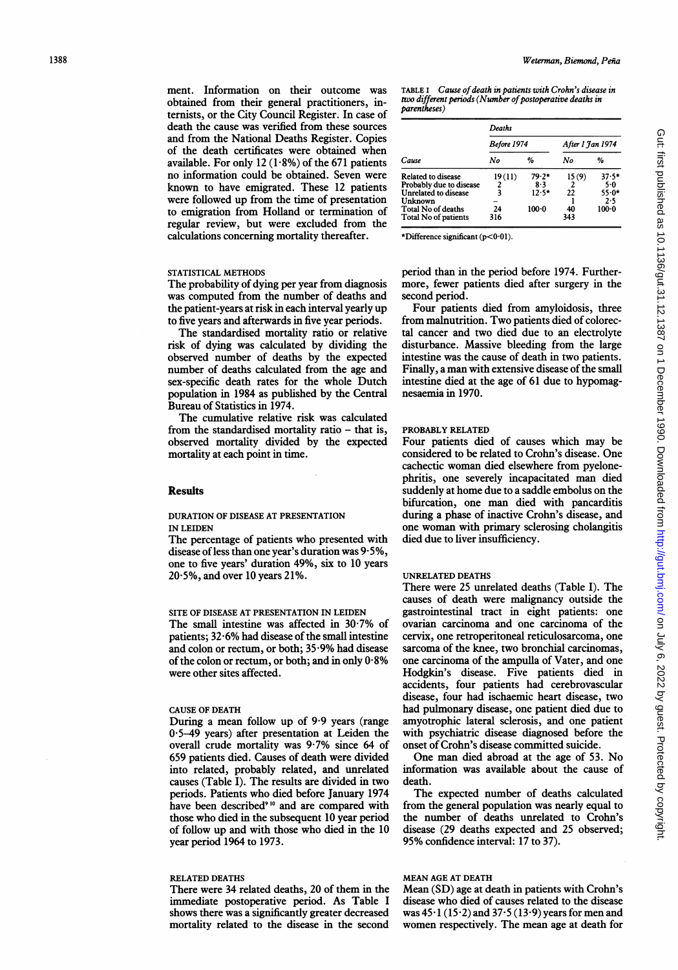ment. Information on their outcome was obtained from their general practitioners, internists, or the City Council Register. In case of death the cause was verified from these sources and from the National Deaths Register. Copies of the death certificates were obtained when available. For only 12  $(1.8\%)$  of the 671 patients no information could be obtained. Seven were known to have emigrated. These 12 patients were followed up from the time of presentation to emigration from Holland or termination of regular review, but were excluded from the calculations concerning mortality thereafter.

## STATISTICAL METHODS

The probability of dying per year from diagnosis was computed from the number of deaths and the patient-years at risk in each interval yearly up to five years and afterwards in five year periods.

The standardised mortality ratio or relative risk of dying was calculated by dividing the observed number of deaths by the expected number of deaths calculated from the age and sex-specific death rates for the whole Dutch population in 1984 as published by the Central Bureau of Statistics in 1974.

The cumulative relative risk was calculated from the standardised mortality ratio – that is, observed mortality divided by the expected mortality at each point in time.

## Results

# DURATION OF DISEASE AT PRESENTATION IN LEIDEN

The percentage of patients who presented with disease of less than one year's duration was 9.5%, one to five years' duration 49%, six to 10 years  $20.5\%$ , and over 10 years 21%.

SITE OF DISEASE AT PRESENTATION IN LEIDEN The small intestine was affected in  $30.7\%$  of patients; 32-6% had disease of the small intestine and colon or rectum, or both; 35.9% had disease of the colon or rectum, or both; and in only 0-8% were other sites affected.

## CAUSE OF DEATH

During a mean follow up of 9-9 years (range 0 5-49 years) after presentation at Leiden the overall crude mortality was 9-7% since 64 of 659 patients died. Causes of death were divided into related, probably related, and unrelated causes (Table I). The results are divided in two periods. Patients who died before January 1974 have been described<sup>910</sup> and are compared with those who died in the subsequent 10 year period of follow up and with those who died in the 10 year period 1964 to 1973.

#### RELATED DEATHS

There were 34 related deaths, 20 of them in the immediate postoperative period. As Table I shows there was a significantly greater decreased mortality related to the disease in the second

TABLE I Cause of death in patients with Crohn's disease in two different periods (Number of postoperative deaths in parentheses)

|                         | <b>Deaths</b>      |           |                  |         |  |  |
|-------------------------|--------------------|-----------|------------------|---------|--|--|
|                         | <b>Before 1974</b> |           | After 1 Jan 1974 |         |  |  |
| Cause                   | No                 | %         | No               | %       |  |  |
| Related to disease      | 19(11)             | $79.2*$   | 15(9)            | $37.5*$ |  |  |
| Probably due to disease | 2                  | 8.3       | 2                | 5.0     |  |  |
| Unrelated to disease    | 3                  | $12.5*$   | 22               | $55.0*$ |  |  |
| Unknown                 |                    |           |                  | 2.5     |  |  |
| Total No of deaths      | 24                 | $100 - 0$ | 40               | 100.0   |  |  |
| Total No of patients    | 316                |           | 343              |         |  |  |

\*Difference significant ( $p < 0.01$ ).

period than in the period before 1974. Furthermore, fewer patients died after surgery in the second period.

Four patients died from amyloidosis, three from malnutrition. Two patients died of colorectal cancer and two died due to an electrolyte disturbance. Massive bleeding from the large intestine was the cause of death in two patients. Finally, <sup>a</sup> man with extensive disease of the small intestine died at the age of 61 due to hypomagnesaemia in 1970.

#### PROBABLY RELATED

Four patients died of causes which may be considered to be related to Crohn's disease. One cachectic woman died elsewhere from pyelonephritis, one severely incapacitated man died suddenly at home due to a saddle embolus on the bifurcation, one man died with pancarditis during a phase of inactive Crohn's disease, and one woman with primary sclerosing cholangitis died due to liver insufficiency.

#### UNRELATED DEATHS

There were 25 unrelated deaths (Table I). The causes of death were malignancy outside the gastrointestinal tract in eight patients: one ovarian carcinoma and one carcinoma of the cervix, one retroperitoneal reticulosarcoma, one sarcoma of the knee, two bronchial carcinomas, one carcinoma of the ampulla of Vater, and one Hodgkin's disease. Five patients died in accidents, four patients had cerebrovascular disease, four had ischaemic heart disease, two had pulmonary disease, one patient died due to amyotrophic lateral sclerosis, and one patient with psychiatric disease diagnosed before the onset of Crohn's disease committed suicide.

One man died abroad at the age of 53. No information was available about the cause of death.

The expected number of deaths calculated from the general population was nearly equal to the number of deaths unrelated to Crohn's disease (29 deaths expected and 25 observed; 95% confidence interval: 17 to 37).

# MEAN AGE AT DEATH

Mean (SD) age at death in patients with Crohn's disease who died of causes related to the disease was  $45 \cdot 1$  (15 $\cdot$ 2) and 37 $\cdot$ 5 (13 $\cdot$ 9) years for men and women respectively. The mean age at death for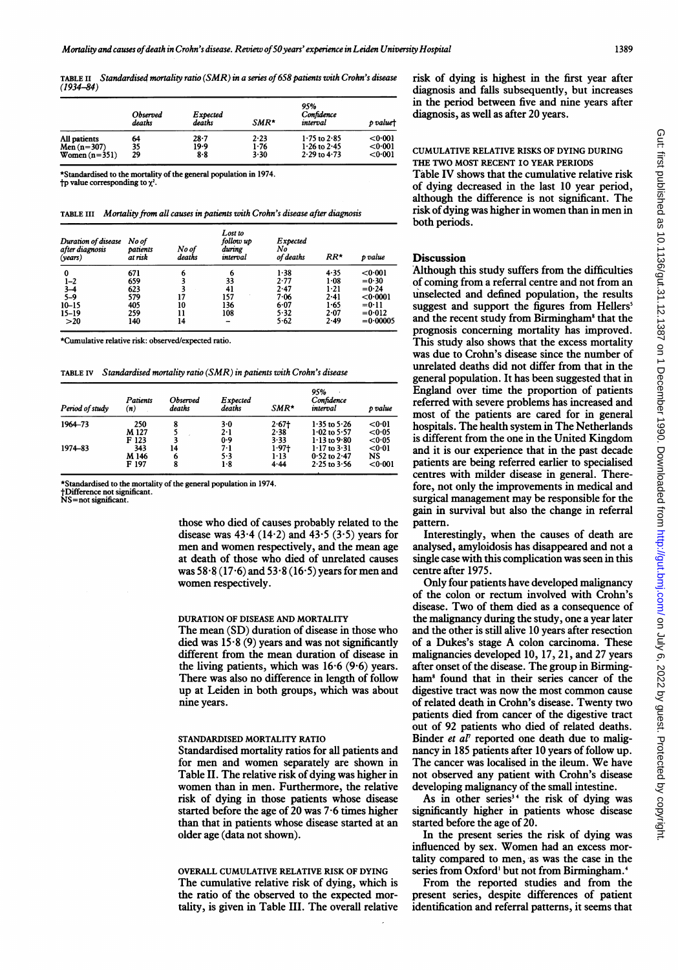TABLE II Standardised mortality ratio (SMR) in a series of658 patients with Crohn's disease (1934-84)

|                 | Observed<br>deaths | Expected<br>deaths | $SMR*$ | 95%<br>Confidence<br>interval | p valuet |
|-----------------|--------------------|--------------------|--------|-------------------------------|----------|
| All patients    | 64                 | $28 - 7$           | 2.23   | $1.75$ to $2.85$              | < 0.001  |
| Men $(n=307)$   | 35                 | 19.9               | 1.76   | $1.26$ to $2.45$              | < 0.001  |
| Women $(n=351)$ | 29                 | 8.8                | 3.30   | $2.29$ to $4.73$              | < 0.001  |

\*Standardised to the mortality of the general population in 1974.  $\dagger$ p value corresponding to  $\chi^2$ .

|  | TABLE III Mortality from all causes in patients with Crohn's disease after diagnosis |  |  |  |  |
|--|--------------------------------------------------------------------------------------|--|--|--|--|
|--|--------------------------------------------------------------------------------------|--|--|--|--|

| Duration of disease<br>after diagnosis<br>(vears) | No of<br>patients<br>at risk | No of<br>deaths | Lost to<br>follow up<br>during<br>interval | <b>Expected</b><br>No<br>of deaths | $RR*$    | p value            |
|---------------------------------------------------|------------------------------|-----------------|--------------------------------------------|------------------------------------|----------|--------------------|
| 0                                                 | 671                          | 6               | 6                                          | 1.38                               | 4.35     | $0.001$            |
| $1 - 2$                                           | 659                          |                 | 33                                         | 2.77                               | 1.08     | $=0.30$            |
| $3 - 4$<br>5-9                                    | 623                          |                 | 41                                         | 2.47                               | $1 - 21$ | $= 0.24$           |
|                                                   | 579                          |                 | 157                                        | 7.06                               | 2.41     | $<$ 0 $\cdot$ 0001 |
| $10 - 15$                                         | 405                          | 10              | 136                                        | 6.07                               | 1.65     | $=0.11$            |
| $15 - 19$                                         | 259                          |                 | 108                                        | 5.32                               | 2.07     | $= 0.012$          |
| >20                                               | 140                          | 14              |                                            | 5.62                               | 2.49     | $= 0.00005$        |

\*Cumulative relative risk: observed/expected ratio.

TABLE IV Standardised mortality ratio (SMR) in patients with Crohn's disease

| Period of study | Patients<br>(n) | <b>Observed</b><br>deaths | Expected<br>deaths | SMR*     | 95%<br>Confidence<br>interval | p value |
|-----------------|-----------------|---------------------------|--------------------|----------|-------------------------------|---------|
| 1964-73         | 250             |                           | 3.0                | 2.67     | $1.35$ to $5.26$              | < 0.01  |
|                 | M 127           |                           | 2.1                | 2.38     | $1.02$ to 5.57                | < 0.05  |
|                 | F 123           |                           | 0.9                | 3.33     | $1.13$ to $9.80$              | <0.05   |
| 1974-83         | 343             | 14                        | 7-1                | $1.97 +$ | $1.17$ to $3.31$              | < 0.01  |
|                 | M 146           | 6                         | 5.3                | $1 - 13$ | $0.52$ to $2.47$              | NS      |
|                 | F 197           |                           | 1.8                | 4.44     | $2.25$ to $3.56$              | < 0.001 |

\*Standardised to the mortality of the general population in 1974.

tDifference not significant. NS=not significant.

those who died of causes probably related to the disease was  $43.4$  (14.2) and  $43.5$  (3.5) years for men and women respectively, and the mean age at death of those who died of unrelated causes was  $58.8(17.6)$  and  $53.8(16.5)$  years for men and women respectively.

#### DURATION OF DISEASE AND MORTALITY

The mean (SD) duration of disease in those who died was  $15.8(9)$  years and was not significantly different from the mean duration of disease in the living patients, which was  $16·6$  (9·6) years. There was also no difference in length of follow up at Leiden in both groups, which was about nine years.

# STANDARDISED MORTALITY RATIO

Standardised mortality ratios for all patients and for men and women separately are shown in Table II. The relative risk of dying was higher in women than in men. Furthermore, the relative risk of dying in those patients whose disease started before the age of 20 was 7-6 times higher than that in patients whose disease started at an older age (data not shown).

# OVERALL CUMULATIVE RELATIVE RISK OF DYING The cumulative relative risk of dying, which is the ratio of the observed to the expected mortality, is given in Table III. The overall relative

risk of dying is highest in the first year after diagnosis and falls subsequently, but increases in the period between five and nine years after diagnosis, as well as after 20 years.

#### CUMULATIVE RELATIVE RISKS OF DYING DURING THE TWO MOST RECENT 10 YEAR PERIODS

Table IV shows that the cumulative relative risk of dying decreased in the last 10 year period, although the difference is not significant. The risk of dying was higher in women than in men in both periods.

## **Discussion**

Although this study suffers from the difficulties of coming from a referral centre and not from an unselected and defined population, the results suggest and support the figures from Hellers' and the recent study from Birmingham<sup>8</sup> that the prognosis concerning mortality has improved. This study also shows that the excess mortality was due to Crohn's disease since the number of unrelated deaths did not differ from that in the general population. It has been suggested that in England over time the proportion of patients referred with severe problems has increased and most of the patients are cared for in general hospitals. The health system in The Netherlands is different from the one in the United Kingdom and it is our experience that in the past decade patients are being referred earlier to specialised centres with milder disease in general. Therefore, not only the improvements in medical and surgical management may be responsible for the gain in survival but also the change in referral pattern.

Interestingly, when the causes of death are analysed, amyloidosis has disappeared and not a single case with this complication was seen in this centre after 1975.

Only four patients have developed malignancy of the colon or rectum involved with Crohn's disease. Two of them died as <sup>a</sup> consequence of the malignancy during the study, one a year later and the other is still alive 10 years after resection of <sup>a</sup> Dukes's stage A colon carcinoma. These malignancies developed 10, 17, 21, and <sup>27</sup> years after onset of the disease. The group in Birmingham<sup>8</sup> found that in their series cancer of the digestive tract was now the most common cause of related death in Crohn's disease. Twenty two patients died from cancer of the digestive tract out of 92 patients who died of related deaths. Binder et  $a^{\dagger}$  reported one death due to malignancy in 185 patients after 10 years of follow up. The cancer was localised in the ileum. We have not observed any patient with Crohn's disease developing malignancy of the small intestine.

As in other series<sup>34</sup> the risk of dying was significantly higher in patients whose disease started before the age of 20.

In the present series the risk of dying was influenced by sex. Women had an excess mortality compared to men, as was the case in the series from Oxford' but not from Birmingham.<sup>4</sup>

From the reported studies and from the present series, despite differences of patient identification and referral patterns, it seems that